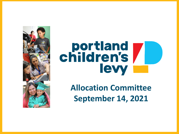

# children's lewy

**Allocation Committee September 14, 2021**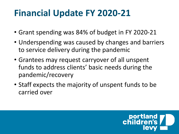# **Financial Update FY 2020-21**

- Grant spending was 84% of budget in FY 2020-21
- Underspending was caused by changes and barriers to service delivery during the pandemic
- Grantees may request carryover of all unspent funds to address clients' basic needs during the pandemic/recovery
- Staff expects the majority of unspent funds to be carried over

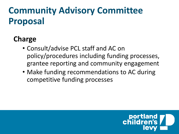### **Charge**

- Consult/advise PCL staff and AC on policy/procedures including funding processes, grantee reporting and community engagement
- Make funding recommendations to AC during competitive funding processes

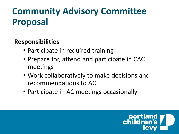### **Responsibilities**

- Participate in required training
- Prepare for, attend and participate in CAC meetings
- Work collaboratively to make decisions and recommendations to AC
- Participate in AC meetings occasionally

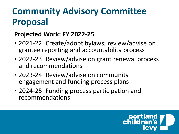### **Projected Work: FY 2022-25**

- 2021-22: Create/adopt bylaws; review/advise on grantee reporting and accountability process
- 2022-23: Review/advise on grant renewal process and recommendations
- 2023-24: Review/advise on community engagement and funding process plans
- 2024-25: Funding process participation and recommendations

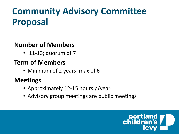#### **Number of Members**

• 11-13; quorum of 7

#### **Term of Members**

• Minimum of 2 years; max of 6

### **Meetings**

- Approximately 12-15 hours p/year
- Advisory group meetings are public meetings

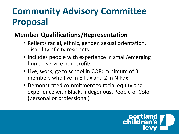#### **Member Qualifications/Representation**

- Reflects racial, ethnic, gender, sexual orientation, disability of city residents
- Includes people with experience in small/emerging human service non-profits
- Live, work, go to school in COP; minimum of 3 members who live in E Pdx and 2 in N Pdx
- Demonstrated commitment to racial equity and experience with Black, Indegenous, People of Color (personal or professional)

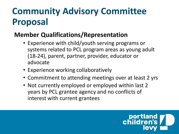### **Member Qualifications/Representation**

- Experience with child/youth serving programs or systems related to PCL program areas as young adult (18-24), parent, partner, provider, educator or advocate
- Experience working collaboratively
- Commitment to attending meetings over at least 2 yrs
- Not currently employed or employed within last 2 years by PCL grantee agency and no conflicts of interest with current grantees

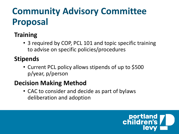### **Training**

• 3 required by COP, PCL 101 and topic specific training to advise on specific policies/procedures

### **Stipends**

• Current PCL policy allows stipends of up to \$500 p/year, p/person

### **Decision Making Method**

• CAC to consider and decide as part of bylaws deliberation and adoption

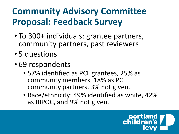- To 300+ individuals: grantee partners, community partners, past reviewers
- 5 questions
- 69 respondents
	- 57% identified as PCL grantees, 25% as community members, 18% as PCL community partners, 3% not given.
	- Race/ethnicity: 49% identified as white, 42% as BIPOC, and 9% not given.

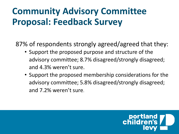87% of respondents strongly agreed/agreed that they:

- Support the proposed purpose and structure of the advisory committee; 8.7% disagreed/strongly disagreed; and 4.3% weren't sure.
- Support the proposed membership considerations for the advisory committee; 5.8% disagreed/strongly disagreed; and 7.2% weren't sure.

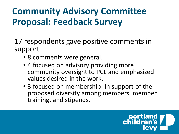17 respondents gave positive comments in support

- 8 comments were general.
- 4 focused on advisory providing more community oversight to PCL and emphasized values desired in the work.
- 3 focused on membership- in support of the proposed diversity among members, member training, and stipends.

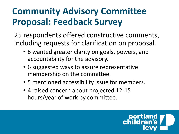25 respondents offered constructive comments, including requests for clarification on proposal.

- 8 wanted greater clarity on goals, powers, and accountability for the advisory.
- 6 suggested ways to assure representative membership on the committee.
- 5 mentioned accessibility issue for members.
- 4 raised concern about projected 12-15 hours/year of work by committee.

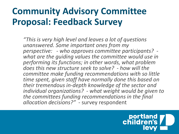*"This is very high level and leaves a lot of questions unanswered. Some important ones from my perspective: - who approves committee participants? - what are the guiding values the committee would use in performing its functions; in other words, what problem does this new structure seek to solve? - how will the committee make funding recommendations with so little time spent, given staff have normally done this based on their tremendous in-depth knowledge of the sector and individual organizations? - what weight would be given to the committees funding recommendations in the final allocation decisions?"* - survey respondent

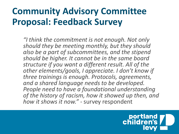*"I think the commitment is not enough. Not only should they be meeting monthly, but they should also be a part of subcommittees, and the stipend should be higher. It cannot be in the same board structure if you want a different result. All of the other elements/goals, I appreciate. I don't know if three trainings is enough. Protocols, agreements, and a shared language needs to be developed. People need to have a foundational understanding of the history of racism, how it showed up then, and how it shows it now." -* survey respondent

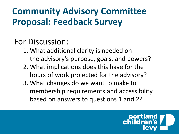### For Discussion:

- 1. What additional clarity is needed on the advisory's purpose, goals, and powers?
- 2. What implications does this have for the hours of work projected for the advisory?
- 3. What changes do we want to make to membership requirements and accessibility based on answers to questions 1 and 2?

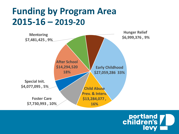### **Funding by Program Area 2015-16 – 2019-20**



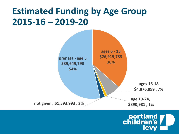### **Estimated Funding by Age Group 2015-16 – 2019-20**